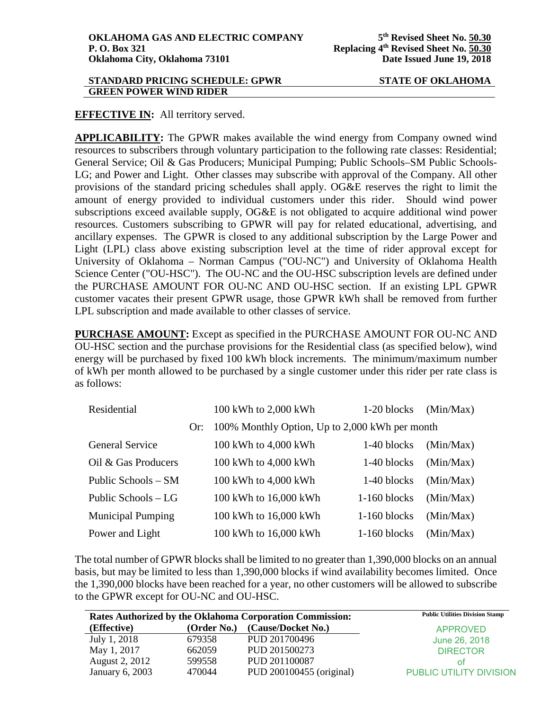### **STANDARD PRICING SCHEDULE: GPWR STATE OF OKLAHOMA GREEN POWER WIND RIDER**

# **EFFECTIVE IN:** All territory served.

**APPLICABILITY:** The GPWR makes available the wind energy from Company owned wind resources to subscribers through voluntary participation to the following rate classes: Residential; General Service; Oil & Gas Producers; Municipal Pumping; Public Schools–SM Public Schools-LG; and Power and Light. Other classes may subscribe with approval of the Company. All other provisions of the standard pricing schedules shall apply. OG&E reserves the right to limit the amount of energy provided to individual customers under this rider. Should wind power subscriptions exceed available supply, OG&E is not obligated to acquire additional wind power resources. Customers subscribing to GPWR will pay for related educational, advertising, and ancillary expenses. The GPWR is closed to any additional subscription by the Large Power and Light (LPL) class above existing subscription level at the time of rider approval except for University of Oklahoma – Norman Campus ("OU-NC") and University of Oklahoma Health Science Center ("OU-HSC"). The OU-NC and the OU-HSC subscription levels are defined under the PURCHASE AMOUNT FOR OU-NC AND OU-HSC section. If an existing LPL GPWR customer vacates their present GPWR usage, those GPWR kWh shall be removed from further LPL subscription and made available to other classes of service.

**PURCHASE AMOUNT:** Except as specified in the PURCHASE AMOUNT FOR OU-NC AND OU-HSC section and the purchase provisions for the Residential class (as specified below), wind energy will be purchased by fixed 100 kWh block increments. The minimum/maximum number of kWh per month allowed to be purchased by a single customer under this rider per rate class is as follows:

| Residential              |     | 100 kWh to 2,000 kWh                           | 1-20 blocks    | (Min/Max) |
|--------------------------|-----|------------------------------------------------|----------------|-----------|
|                          | Or: | 100% Monthly Option, Up to 2,000 kWh per month |                |           |
| <b>General Service</b>   |     | 100 kWh to 4,000 kWh                           | 1-40 blocks    | (Min/Max) |
| Oil & Gas Producers      |     | 100 kWh to 4,000 kWh                           | 1-40 blocks    | (Min/Max) |
| Public Schools – SM      |     | 100 kWh to 4,000 kWh                           | 1-40 blocks    | (Min/Max) |
| Public Schools – LG      |     | 100 kWh to 16,000 kWh                          | $1-160$ blocks | (Min/Max) |
| <b>Municipal Pumping</b> |     | 100 kWh to 16,000 kWh                          | $1-160$ blocks | (Min/Max) |
| Power and Light          |     | 100 kWh to 16,000 kWh                          | $1-160$ blocks | (Min/Max) |

The total number of GPWR blocks shall be limited to no greater than 1,390,000 blocks on an annual basis, but may be limited to less than 1,390,000 blocks if wind availability becomes limited. Once the 1,390,000 blocks have been reached for a year, no other customers will be allowed to subscribe to the GPWR except for OU-NC and OU-HSC.

|                 |             | Rates Authorized by the Oklahoma Corporation Commission: | <b>Public Utilities Division Stamp</b> |
|-----------------|-------------|----------------------------------------------------------|----------------------------------------|
| (Effective)     | (Order No.) | (Cause/Docket No.)                                       | <b>APPROVED</b>                        |
| July 1, 2018    | 679358      | PUD 201700496                                            | June 26, 2018                          |
| May 1, 2017     | 662059      | PUD 201500273                                            | <b>DIRECTOR</b>                        |
| August 2, 2012  | 599558      | PUD 201100087                                            | ΩŤ                                     |
| January 6, 2003 | 470044      | PUD 200100455 (original)                                 | <b>PUBLIC UTILITY DIVISION</b>         |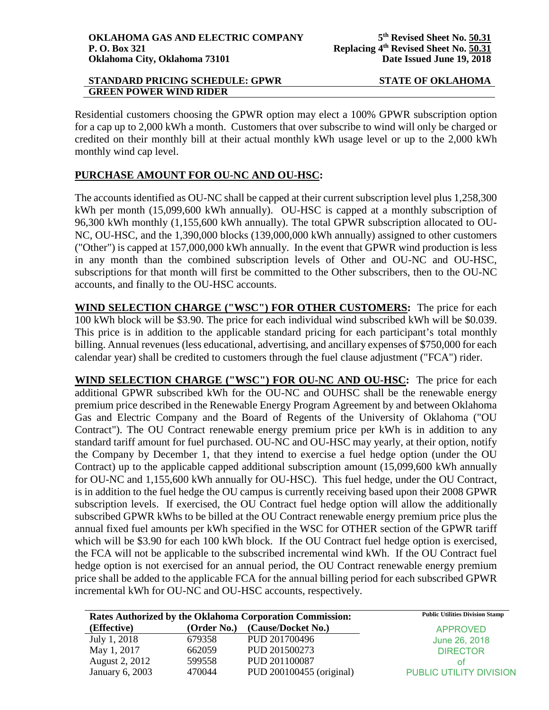## **STANDARD PRICING SCHEDULE: GPWR STATE OF OKLAHOMA GREEN POWER WIND RIDER**

Residential customers choosing the GPWR option may elect a 100% GPWR subscription option for a cap up to 2,000 kWh a month. Customers that over subscribe to wind will only be charged or credited on their monthly bill at their actual monthly kWh usage level or up to the 2,000 kWh monthly wind cap level.

# **PURCHASE AMOUNT FOR OU-NC AND OU-HSC:**

The accounts identified as OU-NC shall be capped at their current subscription level plus 1,258,300 kWh per month (15,099,600 kWh annually). OU-HSC is capped at a monthly subscription of 96,300 kWh monthly (1,155,600 kWh annually). The total GPWR subscription allocated to OU-NC, OU-HSC, and the 1,390,000 blocks (139,000,000 kWh annually) assigned to other customers ("Other") is capped at 157,000,000 kWh annually. In the event that GPWR wind production is less in any month than the combined subscription levels of Other and OU-NC and OU-HSC, subscriptions for that month will first be committed to the Other subscribers, then to the OU-NC accounts, and finally to the OU-HSC accounts.

**WIND SELECTION CHARGE ("WSC") FOR OTHER CUSTOMERS:** The price for each 100 kWh block will be \$3.90. The price for each individual wind subscribed kWh will be \$0.039. This price is in addition to the applicable standard pricing for each participant's total monthly billing. Annual revenues (less educational, advertising, and ancillary expenses of \$750,000 for each calendar year) shall be credited to customers through the fuel clause adjustment ("FCA") rider.

**WIND SELECTION CHARGE ("WSC") FOR OU-NC AND OU-HSC:** The price for each additional GPWR subscribed kWh for the OU-NC and OUHSC shall be the renewable energy premium price described in the Renewable Energy Program Agreement by and between Oklahoma Gas and Electric Company and the Board of Regents of the University of Oklahoma ("OU Contract"). The OU Contract renewable energy premium price per kWh is in addition to any standard tariff amount for fuel purchased. OU-NC and OU-HSC may yearly, at their option, notify the Company by December 1, that they intend to exercise a fuel hedge option (under the OU Contract) up to the applicable capped additional subscription amount (15,099,600 kWh annually for OU-NC and 1,155,600 kWh annually for OU-HSC). This fuel hedge, under the OU Contract, is in addition to the fuel hedge the OU campus is currently receiving based upon their 2008 GPWR subscription levels. If exercised, the OU Contract fuel hedge option will allow the additionally subscribed GPWR kWhs to be billed at the OU Contract renewable energy premium price plus the annual fixed fuel amounts per kWh specified in the WSC for OTHER section of the GPWR tariff which will be \$3.90 for each 100 kWh block. If the OU Contract fuel hedge option is exercised, the FCA will not be applicable to the subscribed incremental wind kWh. If the OU Contract fuel hedge option is not exercised for an annual period, the OU Contract renewable energy premium price shall be added to the applicable FCA for the annual billing period for each subscribed GPWR incremental kWh for OU-NC and OU-HSC accounts, respectively.

|                 |             | Rates Authorized by the Oklahoma Corporation Commission: | <b>Public Utilities Division Stamp</b> |
|-----------------|-------------|----------------------------------------------------------|----------------------------------------|
| (Effective)     | (Order No.) | (Cause/Docket No.)                                       | <b>APPROVED</b>                        |
| July 1, 2018    | 679358      | PUD 201700496                                            | June 26, 2018                          |
| May 1, 2017     | 662059      | PUD 201500273                                            | <b>DIRECTOR</b>                        |
| August 2, 2012  | 599558      | PUD 201100087                                            | ΩŤ                                     |
| January 6, 2003 | 470044      | PUD 200100455 (original)                                 | <b>PUBLIC UTILITY DIVISION</b>         |